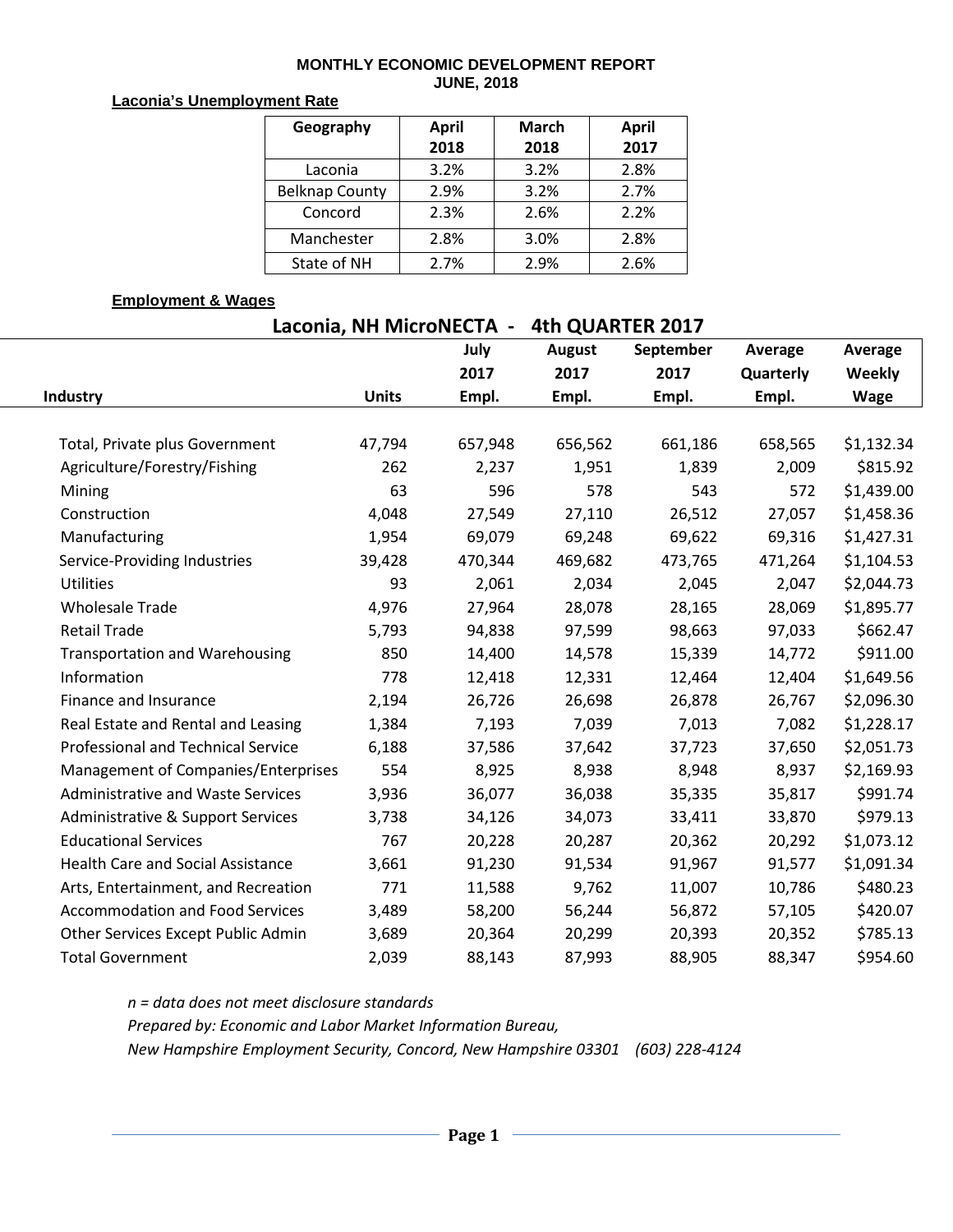### **MONTHLY ECONOMIC DEVELOPMENT REPORT JUNE, 2018**

### **Laconia's Unemployment Rate**

| Geography             | <b>April</b> | <b>March</b> | <b>April</b> |
|-----------------------|--------------|--------------|--------------|
|                       | 2018         | 2018         | 2017         |
| Laconia               | 3.2%         | 3.2%         | 2.8%         |
| <b>Belknap County</b> | 2.9%         | 3.2%         | 2.7%         |
| Concord               | 2.3%         | 2.6%         | 2.2%         |
| Manchester            | 2.8%         | 3.0%         | 2.8%         |
| State of NH           | 2.7%         | 2.9%         | 2.6%         |

## **Employment & Wages**

| Laconia, NH MicroNECTA -<br>4th QUARTER 2017 |              |         |               |           |           |            |  |  |  |  |  |
|----------------------------------------------|--------------|---------|---------------|-----------|-----------|------------|--|--|--|--|--|
|                                              |              | July    | <b>August</b> | September | Average   | Average    |  |  |  |  |  |
|                                              |              | 2017    | 2017          | 2017      | Quarterly | Weekly     |  |  |  |  |  |
| Industry                                     | <b>Units</b> | Empl.   | Empl.         | Empl.     | Empl.     | Wage       |  |  |  |  |  |
|                                              |              |         |               |           |           |            |  |  |  |  |  |
| Total, Private plus Government               | 47,794       | 657,948 | 656,562       | 661,186   | 658,565   | \$1,132.34 |  |  |  |  |  |
| Agriculture/Forestry/Fishing                 | 262          | 2,237   | 1,951         | 1,839     | 2,009     | \$815.92   |  |  |  |  |  |
| Mining                                       | 63           | 596     | 578           | 543       | 572       | \$1,439.00 |  |  |  |  |  |
| Construction                                 | 4,048        | 27,549  | 27,110        | 26,512    | 27,057    | \$1,458.36 |  |  |  |  |  |
| Manufacturing                                | 1,954        | 69,079  | 69,248        | 69,622    | 69,316    | \$1,427.31 |  |  |  |  |  |
| Service-Providing Industries                 | 39,428       | 470,344 | 469,682       | 473,765   | 471,264   | \$1,104.53 |  |  |  |  |  |
| Utilities                                    | 93           | 2,061   | 2,034         | 2,045     | 2,047     | \$2,044.73 |  |  |  |  |  |
| <b>Wholesale Trade</b>                       | 4,976        | 27,964  | 28,078        | 28,165    | 28,069    | \$1,895.77 |  |  |  |  |  |
| <b>Retail Trade</b>                          | 5,793        | 94,838  | 97,599        | 98,663    | 97,033    | \$662.47   |  |  |  |  |  |
| <b>Transportation and Warehousing</b>        | 850          | 14,400  | 14,578        | 15,339    | 14,772    | \$911.00   |  |  |  |  |  |
| Information                                  | 778          | 12,418  | 12,331        | 12,464    | 12,404    | \$1,649.56 |  |  |  |  |  |
| Finance and Insurance                        | 2,194        | 26,726  | 26,698        | 26,878    | 26,767    | \$2,096.30 |  |  |  |  |  |
| Real Estate and Rental and Leasing           | 1,384        | 7,193   | 7,039         | 7,013     | 7,082     | \$1,228.17 |  |  |  |  |  |
| <b>Professional and Technical Service</b>    | 6,188        | 37,586  | 37,642        | 37,723    | 37,650    | \$2,051.73 |  |  |  |  |  |
| Management of Companies/Enterprises          | 554          | 8,925   | 8,938         | 8,948     | 8,937     | \$2,169.93 |  |  |  |  |  |
| Administrative and Waste Services            | 3,936        | 36,077  | 36,038        | 35,335    | 35,817    | \$991.74   |  |  |  |  |  |
| Administrative & Support Services            | 3,738        | 34,126  | 34,073        | 33,411    | 33,870    | \$979.13   |  |  |  |  |  |
| <b>Educational Services</b>                  | 767          | 20,228  | 20,287        | 20,362    | 20,292    | \$1,073.12 |  |  |  |  |  |
| <b>Health Care and Social Assistance</b>     | 3,661        | 91,230  | 91,534        | 91,967    | 91,577    | \$1,091.34 |  |  |  |  |  |
| Arts, Entertainment, and Recreation          | 771          | 11,588  | 9,762         | 11,007    | 10,786    | \$480.23   |  |  |  |  |  |
| <b>Accommodation and Food Services</b>       | 3,489        | 58,200  | 56,244        | 56,872    | 57,105    | \$420.07   |  |  |  |  |  |
| Other Services Except Public Admin           | 3,689        | 20,364  | 20,299        | 20,393    | 20,352    | \$785.13   |  |  |  |  |  |
| <b>Total Government</b>                      | 2,039        | 88,143  | 87,993        | 88,905    | 88,347    | \$954.60   |  |  |  |  |  |

*n = data does not meet disclosure standards Prepared by: Economic and Labor Market Information Bureau, New Hampshire Employment Security, Concord, New Hampshire 03301 (603) 228-4124*